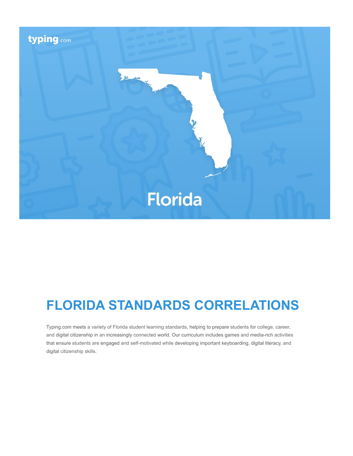

# **FLORIDA STANDARDS CORRELATIONS**

Typing.com meets a variety of Florida student learning standards, helping to prepare students for college, career, and digital citizenship in an increasingly connected world. Our curriculum includes games and media-rich activities that ensure students are engaged and self-motivated while developing important keyboarding, digital literacy, and digital citizenship skills.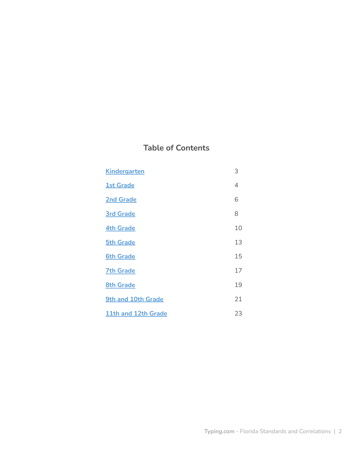# **Table of Contents**

| <b>Kindergarten</b> | 3  |
|---------------------|----|
| <b>1st Grade</b>    | 4  |
| <b>2nd Grade</b>    | 6  |
| <b>3rd Grade</b>    | 8  |
| <b>4th Grade</b>    | 10 |
| <b>5th Grade</b>    | 13 |
| <b>6th Grade</b>    | 15 |
| <b>7th Grade</b>    | 17 |
| <b>8th Grade</b>    | 19 |
| 9th and 10th Grade  | 21 |
| 11th and 12th Grade | 23 |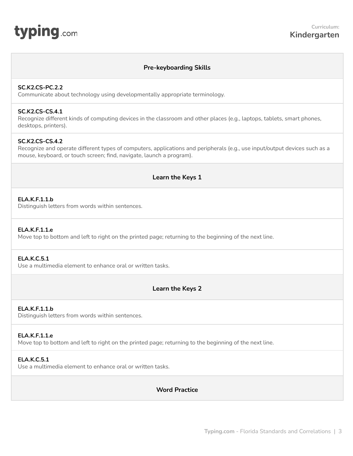# **Pre-keyboarding Skills**

## <span id="page-2-0"></span>**SC.K2.CS-PC.2.2**

Communicate about technology using developmentally appropriate terminology.

## **SC.K2.CS-CS.4.1**

Recognize different kinds of computing devices in the classroom and other places (e.g., laptops, tablets, smart phones, desktops, printers).

## **SC.K2.CS-CS.4.2**

Recognize and operate different types of computers, applications and peripherals (e.g., use input/output devices such as a mouse, keyboard, or touch screen; find, navigate, launch a program).

## **Learn the Keys 1**

## **ELA.K.F.1.1.b**

Distinguish letters from words within sentences.

## **ELA.K.F.1.1.e**

Move top to bottom and left to right on the printed page; returning to the beginning of the next line.

# **ELA.K.C.5.1**

Use a multimedia element to enhance oral or written tasks.

# **Learn the Keys 2**

#### **ELA.K.F.1.1.b**

Distinguish letters from words within sentences.

## **ELA.K.F.1.1.e**

Move top to bottom and left to right on the printed page; returning to the beginning of the next line.

## **ELA.K.C.5.1**

Use a multimedia element to enhance oral or written tasks.

# **Word Practice**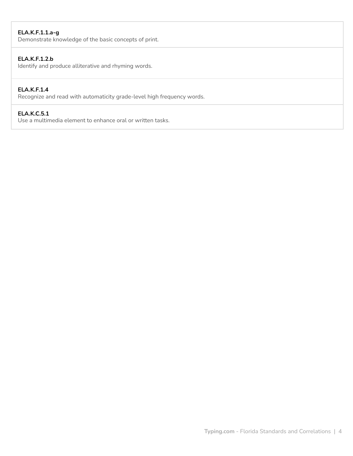# **ELA.K.F.1.1.a-g**

Demonstrate knowledge of the basic concepts of print.

# **ELA.K.F.1.2.b**

Identify and produce alliterative and rhyming words.

# **ELA.K.F.1.4**

Recognize and read with automaticity grade-level high frequency words.

## **ELA.K.C.5.1**

Use a multimedia element to enhance oral or written tasks.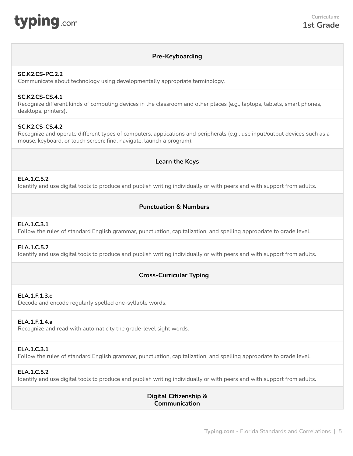<span id="page-4-0"></span>

# **Pre-Keyboarding**

## **SC.K2.CS-PC.2.2**

Communicate about technology using developmentally appropriate terminology.

## **SC.K2.CS-CS.4.1**

Recognize different kinds of computing devices in the classroom and other places (e.g., laptops, tablets, smart phones, desktops, printers).

## **SC.K2.CS-CS.4.2**

Recognize and operate different types of computers, applications and peripherals (e.g., use input/output devices such as a mouse, keyboard, or touch screen; find, navigate, launch a program).

# **Learn the Keys**

## **ELA.1.C.5.2**

Identify and use digital tools to produce and publish writing individually or with peers and with support from adults.

## **Punctuation & Numbers**

## **ELA.1.C.3.1**

Follow the rules of standard English grammar, punctuation, capitalization, and spelling appropriate to grade level.

## **ELA.1.C.5.2**

Identify and use digital tools to produce and publish writing individually or with peers and with support from adults.

# **Cross-Curricular Typing**

## **ELA.1.F.1.3.c**

Decode and encode regularly spelled one-syllable words.

#### **ELA.1.F.1.4.a**

Recognize and read with automaticity the grade-level sight words.

## **ELA.1.C.3.1**

Follow the rules of standard English grammar, punctuation, capitalization, and spelling appropriate to grade level.

# **ELA.1.C.5.2**

Identify and use digital tools to produce and publish writing individually or with peers and with support from adults.

# **Digital Citizenship & Communication**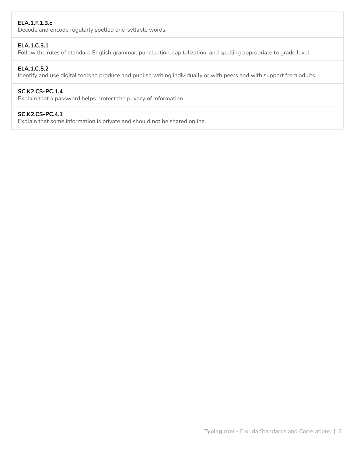# **ELA.1.F.1.3.c**

Decode and encode regularly spelled one-syllable words.

# **ELA.1.C.3.1**

Follow the rules of standard English grammar, punctuation, capitalization, and spelling appropriate to grade level.

## **ELA.1.C.5.2**

Identify and use digital tools to produce and publish writing individually or with peers and with support from adults.

## **SC.K2.CS-PC.1.4**

Explain that a password helps protect the privacy of information.

## **SC.K2.CS-PC.4.1**

Explain that some information is private and should not be shared online.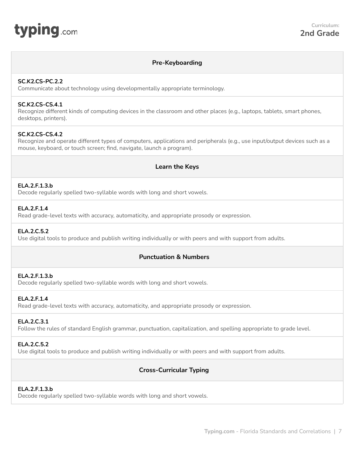<span id="page-6-0"></span>

## **Pre-Keyboarding**

## **SC.K2.CS-PC.2.2**

Communicate about technology using developmentally appropriate terminology.

# **SC.K2.CS-CS.4.1**

Recognize different kinds of computing devices in the classroom and other places (e.g., laptops, tablets, smart phones, desktops, printers).

## **SC.K2.CS-CS.4.2**

Recognize and operate different types of computers, applications and peripherals (e.g., use input/output devices such as a mouse, keyboard, or touch screen; find, navigate, launch a program).

## **Learn the Keys**

#### **ELA.2.F.1.3.b**

Decode regularly spelled two-syllable words with long and short vowels.

## **ELA.2.F.1.4**

Read grade-level texts with accuracy, automaticity, and appropriate prosody or expression.

## **ELA.2.C.5.2**

Use digital tools to produce and publish writing individually or with peers and with support from adults.

# **Punctuation & Numbers**

## **ELA.2.F.1.3.b**

Decode regularly spelled two-syllable words with long and short vowels.

## **ELA.2.F.1.4**

Read grade-level texts with accuracy, automaticity, and appropriate prosody or expression.

#### **ELA.2.C.3.1**

Follow the rules of standard English grammar, punctuation, capitalization, and spelling appropriate to grade level.

# **ELA.2.C.5.2**

Use digital tools to produce and publish writing individually or with peers and with support from adults.

# **Cross-Curricular Typing**

## **ELA.2.F.1.3.b**

Decode regularly spelled two-syllable words with long and short vowels.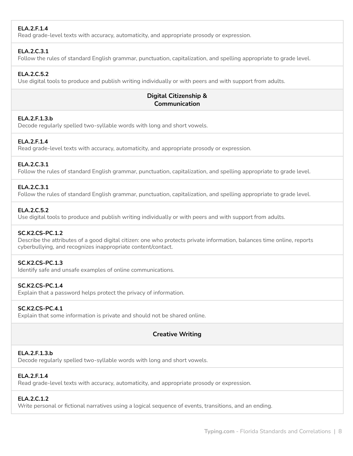# **ELA.2.F.1.4**

Read grade-level texts with accuracy, automaticity, and appropriate prosody or expression.

# **ELA.2.C.3.1**

Follow the rules of standard English grammar, punctuation, capitalization, and spelling appropriate to grade level.

# **ELA.2.C.5.2**

Use digital tools to produce and publish writing individually or with peers and with support from adults.

# **Digital Citizenship & Communication**

# **ELA.2.F.1.3.b**

Decode regularly spelled two-syllable words with long and short vowels.

# **ELA.2.F.1.4**

Read grade-level texts with accuracy, automaticity, and appropriate prosody or expression.

## **ELA.2.C.3.1**

Follow the rules of standard English grammar, punctuation, capitalization, and spelling appropriate to grade level.

## **ELA.2.C.3.1**

Follow the rules of standard English grammar, punctuation, capitalization, and spelling appropriate to grade level.

## **ELA.2.C.5.2**

Use digital tools to produce and publish writing individually or with peers and with support from adults.

## **SC.K2.CS-PC.1.2**

Describe the attributes of a good digital citizen: one who protects private information, balances time online, reports cyberbullying, and recognizes inappropriate content/contact.

## **SC.K2.CS-PC.1.3**

Identify safe and unsafe examples of online communications.

## **SC.K2.CS-PC.1.4**

Explain that a password helps protect the privacy of information.

# **SC.K2.CS-PC.4.1**

Explain that some information is private and should not be shared online.

# **Creative Writing**

# **ELA.2.F.1.3.b**

Decode regularly spelled two-syllable words with long and short vowels.

# **ELA.2.F.1.4**

Read grade-level texts with accuracy, automaticity, and appropriate prosody or expression.

# **ELA.2.C.1.2**

Write personal or fictional narratives using a logical sequence of events, transitions, and an ending.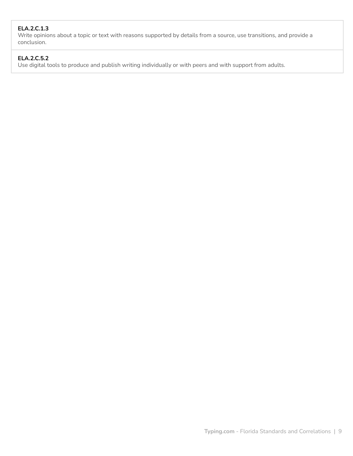# **ELA.2.C.1.3**

Write opinions about a topic or text with reasons supported by details from a source, use transitions, and provide a conclusion.

# **ELA.2.C.5.2**

Use digital tools to produce and publish writing individually or with peers and with support from adults.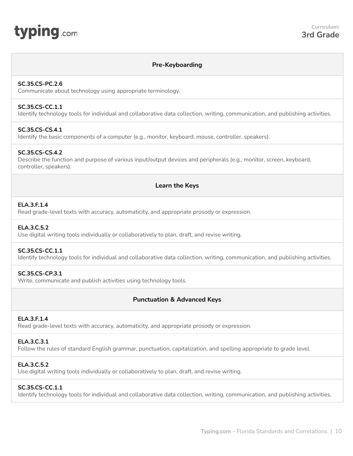# <span id="page-9-0"></span>**typing**.com

# **Pre-Keyboarding**

## **SC.35.CS-PC.2.6**

Communicate about technology using appropriate terminology.

## **SC.35.CS-CC.1.1**

Identify technology tools for individual and collaborative data collection, writing, communication, and publishing activities.

# **SC.35.CS-CS.4.1**

Identify the basic components of a computer (e.g., monitor, keyboard, mouse, controller, speakers).

# **SC.35.CS-CS.4.2**

Describe the function and purpose of various input/output devices and peripherals (e.g., monitor, screen, keyboard, controller, speakers).

# **Learn the Keys**

# **ELA.3.F.1.4**

Read grade-level texts with accuracy, automaticity, and appropriate prosody or expression.

## **ELA.3.C.5.2**

Use digital writing tools individually or collaboratively to plan, draft, and revise writing.

## **SC.35.CS-CC.1.1**

Identify technology tools for individual and collaborative data collection, writing, communication, and publishing activities.

## **SC.35.CS-CP.3.1**

Write, communicate and publish activities using technology tools.

# **Punctuation & Advanced Keys**

## **ELA.3.F.1.4**

Read grade-level texts with accuracy, automaticity, and appropriate prosody or expression.

# **ELA.3.C.3.1**

Follow the rules of standard English grammar, punctuation, capitalization, and spelling appropriate to grade level.

# **ELA.3.C.5.2**

Use digital writing tools individually or collaboratively to plan, draft, and revise writing.

# **SC.35.CS-CC.1.1**

Identify technology tools for individual and collaborative data collection, writing, communication, and publishing activities.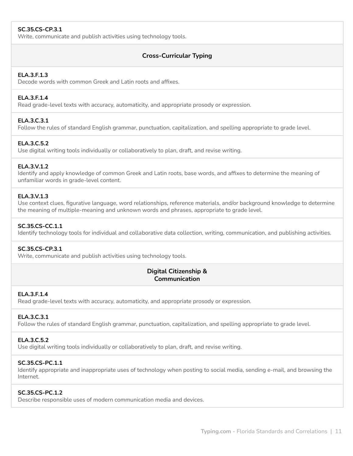# **SC.35.CS-CP.3.1**

Write, communicate and publish activities using technology tools.

# **Cross-Curricular Typing**

## **ELA.3.F.1.3**

Decode words with common Greek and Latin roots and affixes.

#### **ELA.3.F.1.4**

Read grade-level texts with accuracy, automaticity, and appropriate prosody or expression.

## **ELA.3.C.3.1**

Follow the rules of standard English grammar, punctuation, capitalization, and spelling appropriate to grade level.

## **ELA.3.C.5.2**

Use digital writing tools individually or collaboratively to plan, draft, and revise writing.

## **ELA.3.V.1.2**

Identify and apply knowledge of common Greek and Latin roots, base words, and affixes to determine the meaning of unfamiliar words in grade-level content.

## **ELA.3.V.1.3**

Use context clues, figurative language, word relationships, reference materials, and/or background knowledge to determine the meaning of multiple-meaning and unknown words and phrases, appropriate to grade level.

## **SC.35.CS-CC.1.1**

Identify technology tools for individual and collaborative data collection, writing, communication, and publishing activities.

## **SC.35.CS-CP.3.1**

Write, communicate and publish activities using technology tools.

# **Digital Citizenship & Communication**

# **ELA.3.F.1.4**

Read grade-level texts with accuracy, automaticity, and appropriate prosody or expression.

## **ELA.3.C.3.1**

Follow the rules of standard English grammar, punctuation, capitalization, and spelling appropriate to grade level.

#### **ELA.3.C.5.2**

Use digital writing tools individually or collaboratively to plan, draft, and revise writing.

# **SC.35.CS-PC.1.1**

Identify appropriate and inappropriate uses of technology when posting to social media, sending e-mail, and browsing the Internet.

# **SC.35.CS-PC.1.2**

Describe responsible uses of modern communication media and devices.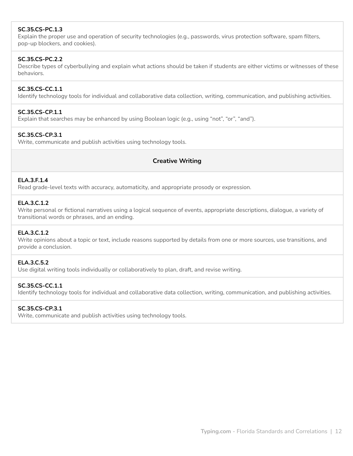# **SC.35.CS-PC.1.3**

Explain the proper use and operation of security technologies (e.g., passwords, virus protection software, spam filters, pop-up blockers, and cookies).

## **SC.35.CS-PC.2.2**

Describe types of cyberbullying and explain what actions should be taken if students are either victims or witnesses of these behaviors.

# **SC.35.CS-CC.1.1**

Identify technology tools for individual and collaborative data collection, writing, communication, and publishing activities.

## **SC.35.CS-CP.1.1**

Explain that searches may be enhanced by using Boolean logic (e.g., using "not", "or", "and").

## **SC.35.CS-CP.3.1**

Write, communicate and publish activities using technology tools.

# **Creative Writing**

# **ELA.3.F.1.4**

Read grade-level texts with accuracy, automaticity, and appropriate prosody or expression.

## **ELA.3.C.1.2**

Write personal or fictional narratives using a logical sequence of events, appropriate descriptions, dialogue, a variety of transitional words or phrases, and an ending.

## **ELA.3.C.1.2**

Write opinions about a topic or text, include reasons supported by details from one or more sources, use transitions, and provide a conclusion.

## **ELA.3.C.5.2**

Use digital writing tools individually or collaboratively to plan, draft, and revise writing.

# **SC.35.CS-CC.1.1**

Identify technology tools for individual and collaborative data collection, writing, communication, and publishing activities.

# **SC.35.CS-CP.3.1**

Write, communicate and publish activities using technology tools.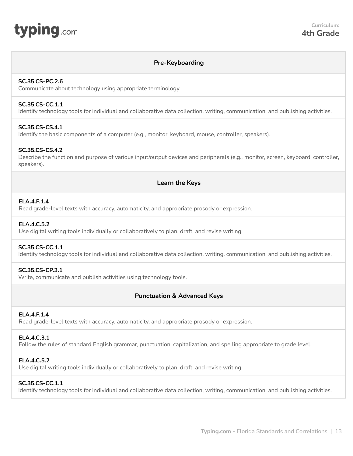<span id="page-12-0"></span>

# **Pre-Keyboarding**

#### **SC.35.CS-PC.2.6**

Communicate about technology using appropriate terminology.

# **SC.35.CS-CC.1.1**

Identify technology tools for individual and collaborative data collection, writing, communication, and publishing activities.

## **SC.35.CS-CS.4.1**

Identify the basic components of a computer (e.g., monitor, keyboard, mouse, controller, speakers).

## **SC.35.CS-CS.4.2**

Describe the function and purpose of various input/output devices and peripherals (e.g., monitor, screen, keyboard, controller, speakers).

## **Learn the Keys**

## **ELA.4.F.1.4**

Read grade-level texts with accuracy, automaticity, and appropriate prosody or expression.

## **ELA.4.C.5.2**

Use digital writing tools individually or collaboratively to plan, draft, and revise writing.

## **SC.35.CS-CC.1.1**

Identify technology tools for individual and collaborative data collection, writing, communication, and publishing activities.

## **SC.35.CS-CP.3.1**

Write, communicate and publish activities using technology tools.

# **Punctuation & Advanced Keys**

#### **ELA.4.F.1.4**

Read grade-level texts with accuracy, automaticity, and appropriate prosody or expression.

#### **ELA.4.C.3.1**

Follow the rules of standard English grammar, punctuation, capitalization, and spelling appropriate to grade level.

## **ELA.4.C.5.2**

Use digital writing tools individually or collaboratively to plan, draft, and revise writing.

# **SC.35.CS-CC.1.1**

Identify technology tools for individual and collaborative data collection, writing, communication, and publishing activities.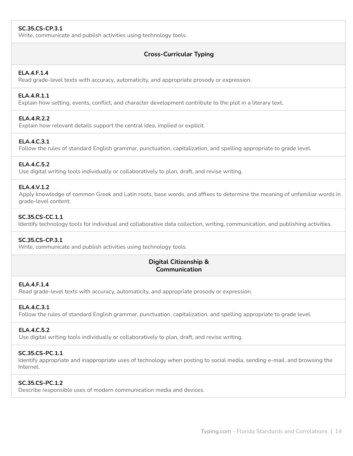# **SC.35.CS-CP.3.1**

Write, communicate and publish activities using technology tools.

# **Cross-Curricular Typing**

## **ELA.4.F.1.4**

Read grade-level texts with accuracy, automaticity, and appropriate prosody or expression.

## **ELA.4.R.1.1**

Explain how setting, events, conflict, and character development contribute to the plot in a literary text.

## **ELA.4.R.2.2**

Explain how relevant details support the central idea, implied or explicit.

## **ELA.4.C.3.1**

Follow the rules of standard English grammar, punctuation, capitalization, and spelling appropriate to grade level.

## **ELA.4.C.5.2**

Use digital writing tools individually or collaboratively to plan, draft, and revise writing.

#### **ELA.4.V.1.2**

Apply knowledge of common Greek and Latin roots, base words, and affixes to determine the meaning of unfamiliar words in grade-level content.

## **SC.35.CS-CC.1.1**

Identify technology tools for individual and collaborative data collection, writing, communication, and publishing activities.

#### **SC.35.CS-CP.3.1**

Write, communicate and publish activities using technology tools.

# **Digital Citizenship & Communication**

#### **ELA.4.F.1.4**

Read grade-level texts with accuracy, automaticity, and appropriate prosody or expression.

# **ELA.4.C.3.1**

Follow the rules of standard English grammar, punctuation, capitalization, and spelling appropriate to grade level.

## **ELA.4.C.5.2**

Use digital writing tools individually or collaboratively to plan, draft, and revise writing.

#### **SC.35.CS-PC.1.1**

Identify appropriate and inappropriate uses of technology when posting to social media, sending e-mail, and browsing the Internet.

## **SC.35.CS-PC.1.2**

Describe responsible uses of modern communication media and devices.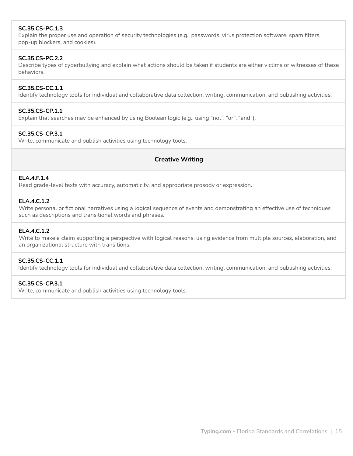# **SC.35.CS-PC.1.3**

Explain the proper use and operation of security technologies (e.g., passwords, virus protection software, spam filters, pop-up blockers, and cookies).

## **SC.35.CS-PC.2.2**

Describe types of cyberbullying and explain what actions should be taken if students are either victims or witnesses of these behaviors.

# **SC.35.CS-CC.1.1**

Identify technology tools for individual and collaborative data collection, writing, communication, and publishing activities.

## **SC.35.CS-CP.1.1**

Explain that searches may be enhanced by using Boolean logic (e.g., using "not", "or", "and").

## **SC.35.CS-CP.3.1**

Write, communicate and publish activities using technology tools.

## **Creative Writing**

#### **ELA.4.F.1.4**

Read grade-level texts with accuracy, automaticity, and appropriate prosody or expression.

## **ELA.4.C.1.2**

Write personal or fictional narratives using a logical sequence of events and demonstrating an effective use of techniques such as descriptions and transitional words and phrases.

## **ELA.4.C.1.2**

Write to make a claim supporting a perspective with logical reasons, using evidence from multiple sources, elaboration, and an organizational structure with transitions.

# **SC.35.CS-CC.1.1**

Identify technology tools for individual and collaborative data collection, writing, communication, and publishing activities.

## **SC.35.CS-CP.3.1**

Write, communicate and publish activities using technology tools.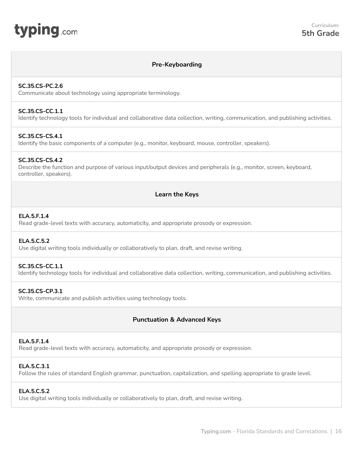<span id="page-15-0"></span>

# **Pre-Keyboarding**

#### **SC.35.CS-PC.2.6**

Communicate about technology using appropriate terminology.

#### **SC.35.CS-CC.1.1**

Identify technology tools for individual and collaborative data collection, writing, communication, and publishing activities.

## **SC.35.CS-CS.4.1**

Identify the basic components of a computer (e.g., monitor, keyboard, mouse, controller, speakers).

## **SC.35.CS-CS.4.2**

Describe the function and purpose of various input/output devices and peripherals (e.g., monitor, screen, keyboard, controller, speakers).

## **Learn the Keys**

## **ELA.5.F.1.4**

Read grade-level texts with accuracy, automaticity, and appropriate prosody or expression.

## **ELA.5.C.5.2**

Use digital writing tools individually or collaboratively to plan, draft, and revise writing.

#### **SC.35.CS-CC.1.1**

Identify technology tools for individual and collaborative data collection, writing, communication, and publishing activities.

## **SC.35.CS-CP.3.1**

Write, communicate and publish activities using technology tools.

# **Punctuation & Advanced Keys**

#### **ELA.5.F.1.4**

Read grade-level texts with accuracy, automaticity, and appropriate prosody or expression.

#### **ELA.5.C.3.1**

Follow the rules of standard English grammar, punctuation, capitalization, and spelling appropriate to grade level.

## **ELA.5.C.5.2**

Use digital writing tools individually or collaboratively to plan, draft, and revise writing.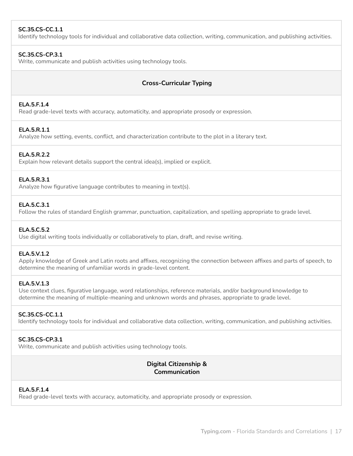# **SC.35.CS-CC.1.1**

Identify technology tools for individual and collaborative data collection, writing, communication, and publishing activities.

## **SC.35.CS-CP.3.1**

Write, communicate and publish activities using technology tools.

# **Cross-Curricular Typing**

# **ELA.5.F.1.4**

Read grade-level texts with accuracy, automaticity, and appropriate prosody or expression.

# **ELA.5.R.1.1**

Analyze how setting, events, conflict, and characterization contribute to the plot in a literary text.

## **ELA.5.R.2.2**

Explain how relevant details support the central idea(s), implied or explicit.

## **ELA.5.R.3.1**

Analyze how figurative language contributes to meaning in text(s).

## **ELA.5.C.3.1**

Follow the rules of standard English grammar, punctuation, capitalization, and spelling appropriate to grade level.

## **ELA.5.C.5.2**

Use digital writing tools individually or collaboratively to plan, draft, and revise writing.

#### **ELA.5.V.1.2**

Apply knowledge of Greek and Latin roots and affixes, recognizing the connection between affixes and parts of speech, to determine the meaning of unfamiliar words in grade-level content.

## **ELA.5.V.1.3**

Use context clues, figurative language, word relationships, reference materials, and/or background knowledge to determine the meaning of multiple-meaning and unknown words and phrases, appropriate to grade level.

## **SC.35.CS-CC.1.1**

Identify technology tools for individual and collaborative data collection, writing, communication, and publishing activities.

## **SC.35.CS-CP.3.1**

Write, communicate and publish activities using technology tools.

# **Digital Citizenship & Communication**

# **ELA.5.F.1.4**

Read grade-level texts with accuracy, automaticity, and appropriate prosody or expression.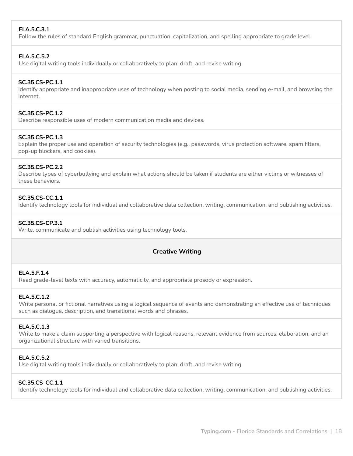# **ELA.5.C.3.1**

Follow the rules of standard English grammar, punctuation, capitalization, and spelling appropriate to grade level.

## **ELA.5.C.5.2**

Use digital writing tools individually or collaboratively to plan, draft, and revise writing.

## **SC.35.CS-PC.1.1**

Identify appropriate and inappropriate uses of technology when posting to social media, sending e-mail, and browsing the Internet.

## **SC.35.CS-PC.1.2**

Describe responsible uses of modern communication media and devices.

## **SC.35.CS-PC.1.3**

Explain the proper use and operation of security technologies (e.g., passwords, virus protection software, spam filters, pop-up blockers, and cookies).

## **SC.35.CS-PC.2.2**

Describe types of cyberbullying and explain what actions should be taken if students are either victims or witnesses of these behaviors.

## **SC.35.CS-CC.1.1**

Identify technology tools for individual and collaborative data collection, writing, communication, and publishing activities.

## **SC.35.CS-CP.3.1**

Write, communicate and publish activities using technology tools.

# **Creative Writing**

#### **ELA.5.F.1.4**

Read grade-level texts with accuracy, automaticity, and appropriate prosody or expression.

#### **ELA.5.C.1.2**

Write personal or fictional narratives using a logical sequence of events and demonstrating an effective use of techniques such as dialogue, description, and transitional words and phrases.

#### **ELA.5.C.1.3**

Write to make a claim supporting a perspective with logical reasons, relevant evidence from sources, elaboration, and an organizational structure with varied transitions.

# **ELA.5.C.5.2**

Use digital writing tools individually or collaboratively to plan, draft, and revise writing.

#### **SC.35.CS-CC.1.1**

Identify technology tools for individual and collaborative data collection, writing, communication, and publishing activities.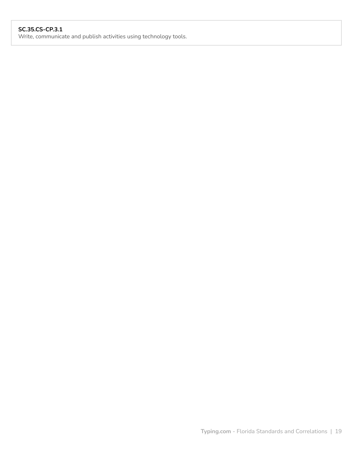# **SC.35.CS-CP.3.1**

Write, communicate and publish activities using technology tools.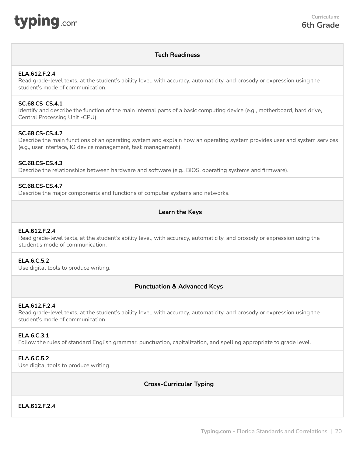<span id="page-19-0"></span>

# **Tech Readiness**

## **ELA.612.F.2.4**

Read grade-level texts, at the student's ability level, with accuracy, automaticity, and prosody or expression using the student's mode of communication.

## **SC.68.CS-CS.4.1**

Identify and describe the function of the main internal parts of a basic computing device (e.g., motherboard, hard drive, Central Processing Unit -CPU).

## **SC.68.CS-CS.4.2**

Describe the main functions of an operating system and explain how an operating system provides user and system services (e.g., user interface, IO device management, task management).

## **SC.68.CS-CS.4.3**

Describe the relationships between hardware and software (e.g., BIOS, operating systems and firmware).

## **SC.68.CS-CS.4.7**

Describe the major components and functions of computer systems and networks.

# **Learn the Keys**

#### **ELA.612.F.2.4**

Read grade-level texts, at the student's ability level, with accuracy, automaticity, and prosody or expression using the student's mode of communication.

## **ELA.6.C.5.2**

Use digital tools to produce writing.

# **Punctuation & Advanced Keys**

#### **ELA.612.F.2.4**

Read grade-level texts, at the student's ability level, with accuracy, automaticity, and prosody or expression using the student's mode of communication.

#### **ELA.6.C.3.1**

Follow the rules of standard English grammar, punctuation, capitalization, and spelling appropriate to grade level.

## **ELA.6.C.5.2**

Use digital tools to produce writing.

# **Cross-Curricular Typing**

# **ELA.612.F.2.4**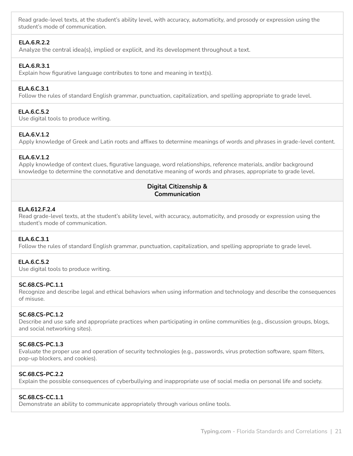Read grade-level texts, at the student's ability level, with accuracy, automaticity, and prosody or expression using the student's mode of communication.

# **ELA.6.R.2.2**

Analyze the central idea(s), implied or explicit, and its development throughout a text.

## **ELA.6.R.3.1**

Explain how figurative language contributes to tone and meaning in text(s).

## **ELA.6.C.3.1**

Follow the rules of standard English grammar, punctuation, capitalization, and spelling appropriate to grade level.

#### **ELA.6.C.5.2**

Use digital tools to produce writing.

## **ELA.6.V.1.2**

Apply knowledge of Greek and Latin roots and affixes to determine meanings of words and phrases in grade-level content.

#### **ELA.6.V.1.2**

Apply knowledge of context clues, figurative language, word relationships, reference materials, and/or background knowledge to determine the connotative and denotative meaning of words and phrases, appropriate to grade level.

## **Digital Citizenship & Communication**

## **ELA.612.F.2.4**

Read grade-level texts, at the student's ability level, with accuracy, automaticity, and prosody or expression using the student's mode of communication.

#### **ELA.6.C.3.1**

Follow the rules of standard English grammar, punctuation, capitalization, and spelling appropriate to grade level.

#### **ELA.6.C.5.2**

Use digital tools to produce writing.

#### **SC.68.CS-PC.1.1**

Recognize and describe legal and ethical behaviors when using information and technology and describe the consequences of misuse.

#### **SC.68.CS-PC.1.2**

Describe and use safe and appropriate practices when participating in online communities (e.g., discussion groups, blogs, and social networking sites).

#### **SC.68.CS-PC.1.3**

Evaluate the proper use and operation of security technologies (e.g., passwords, virus protection software, spam filters, pop-up blockers, and cookies).

## **SC.68.CS-PC.2.2**

Explain the possible consequences of cyberbullying and inappropriate use of social media on personal life and society.

#### **SC.68.CS-CC.1.1**

Demonstrate an ability to communicate appropriately through various online tools.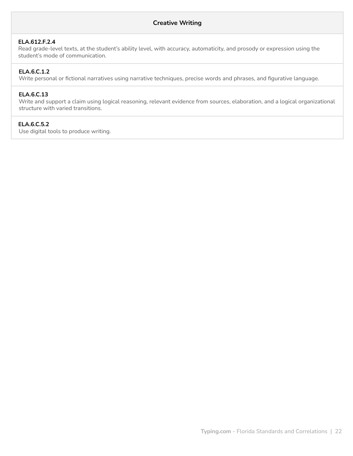# **ELA.612.F.2.4**

Read grade-level texts, at the student's ability level, with accuracy, automaticity, and prosody or expression using the student's mode of communication.

# **ELA.6.C.1.2**

Write personal or fictional narratives using narrative techniques, precise words and phrases, and figurative language.

## **ELA.6.C.13**

Write and support a claim using logical reasoning, relevant evidence from sources, elaboration, and a logical organizational structure with varied transitions.

# **ELA.6.C.5.2**

Use digital tools to produce writing.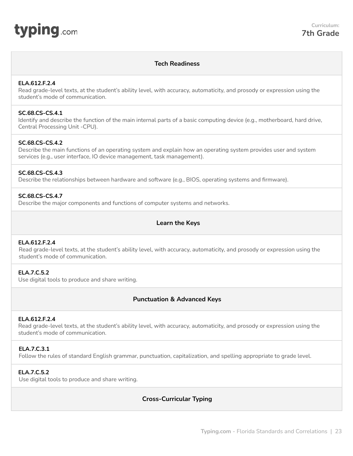<span id="page-22-0"></span>

# **Tech Readiness**

#### **ELA.612.F.2.4**

Read grade-level texts, at the student's ability level, with accuracy, automaticity, and prosody or expression using the student's mode of communication.

#### **SC.68.CS-CS.4.1**

Identify and describe the function of the main internal parts of a basic computing device (e.g., motherboard, hard drive, Central Processing Unit -CPU).

## **SC.68.CS-CS.4.2**

Describe the main functions of an operating system and explain how an operating system provides user and system services (e.g., user interface, IO device management, task management).

#### **SC.68.CS-CS.4.3**

Describe the relationships between hardware and software (e.g., BIOS, operating systems and firmware).

#### **SC.68.CS-CS.4.7**

Describe the major components and functions of computer systems and networks.

# **Learn the Keys**

#### **ELA.612.F.2.4**

Read grade-level texts, at the student's ability level, with accuracy, automaticity, and prosody or expression using the student's mode of communication.

## **ELA.7.C.5.2**

Use digital tools to produce and share writing.

#### **Punctuation & Advanced Keys**

#### **ELA.612.F.2.4**

Read grade-level texts, at the student's ability level, with accuracy, automaticity, and prosody or expression using the student's mode of communication.

## **ELA.7.C.3.1**

Follow the rules of standard English grammar, punctuation, capitalization, and spelling appropriate to grade level.

#### **ELA.7.C.5.2**

Use digital tools to produce and share writing.

## **Cross-Curricular Typing**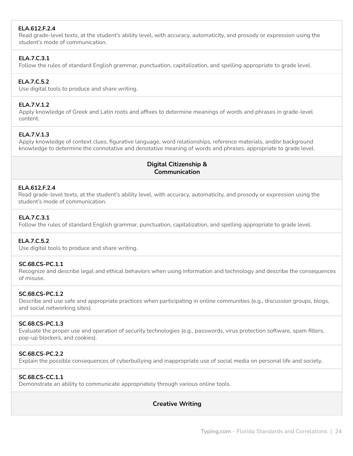# **ELA.612.F.2.4**

Read grade-level texts, at the student's ability level, with accuracy, automaticity, and prosody or expression using the student's mode of communication.

# **ELA.7.C.3.1**

Follow the rules of standard English grammar, punctuation, capitalization, and spelling appropriate to grade level.

## **ELA.7.C.5.2**

Use digital tools to produce and share writing.

# **ELA.7.V.1.2**

Apply knowledge of Greek and Latin roots and affixes to determine meanings of words and phrases in grade-level content.

## **ELA.7.V.1.3**

Apply knowledge of context clues, figurative language, word relationships, reference materials, and/or background knowledge to determine the connotative and denotative meaning of words and phrases, appropriate to grade level.

# **Digital Citizenship & Communication**

## **ELA.612.F.2.4**

Read grade-level texts, at the student's ability level, with accuracy, automaticity, and prosody or expression using the student's mode of communication.

## **ELA.7.C.3.1**

Follow the rules of standard English grammar, punctuation, capitalization, and spelling appropriate to grade level.

## **ELA.7.C.5.2**

Use digital tools to produce and share writing.

#### **SC.68.CS-PC.1.1**

Recognize and describe legal and ethical behaviors when using information and technology and describe the consequences of misuse.

#### **SC.68.CS-PC.1.2**

Describe and use safe and appropriate practices when participating in online communities (e.g., discussion groups, blogs, and social networking sites).

## **SC.68.CS-PC.1.3**

Evaluate the proper use and operation of security technologies (e.g., passwords, virus protection software, spam filters, pop-up blockers, and cookies).

## **SC.68.CS-PC.2.2**

Explain the possible consequences of cyberbullying and inappropriate use of social media on personal life and society.

## **SC.68.CS-CC.1.1**

Demonstrate an ability to communicate appropriately through various online tools.

# **Creative Writing**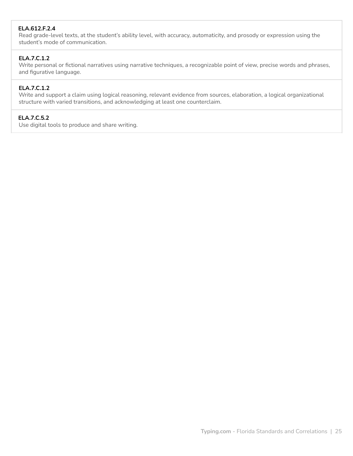# **ELA.612.F.2.4**

Read grade-level texts, at the student's ability level, with accuracy, automaticity, and prosody or expression using the student's mode of communication.

# **ELA.7.C.1.2**

Write personal or fictional narratives using narrative techniques, a recognizable point of view, precise words and phrases, and figurative language.

## **ELA.7.C.1.2**

Write and support a claim using logical reasoning, relevant evidence from sources, elaboration, a logical organizational structure with varied transitions, and acknowledging at least one counterclaim.

# **ELA.7.C.5.2**

Use digital tools to produce and share writing.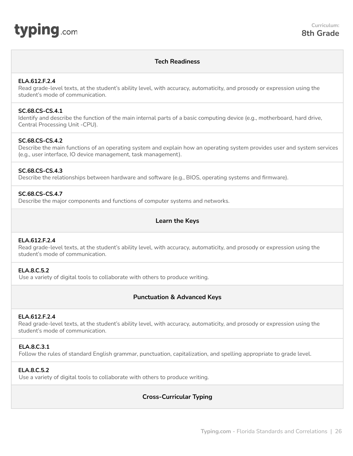<span id="page-25-0"></span>

## **Tech Readiness**

## **ELA.612.F.2.4**

Read grade-level texts, at the student's ability level, with accuracy, automaticity, and prosody or expression using the student's mode of communication.

## **SC.68.CS-CS.4.1**

Identify and describe the function of the main internal parts of a basic computing device (e.g., motherboard, hard drive, Central Processing Unit -CPU).

## **SC.68.CS-CS.4.2**

Describe the main functions of an operating system and explain how an operating system provides user and system services (e.g., user interface, IO device management, task management).

# **SC.68.CS-CS.4.3**

Describe the relationships between hardware and software (e.g., BIOS, operating systems and firmware).

## **SC.68.CS-CS.4.7**

Describe the major components and functions of computer systems and networks.

# **Learn the Keys**

#### **ELA.612.F.2.4**

Read grade-level texts, at the student's ability level, with accuracy, automaticity, and prosody or expression using the student's mode of communication.

## **ELA.8.C.5.2**

Use a variety of digital tools to collaborate with others to produce writing.

## **Punctuation & Advanced Keys**

#### **ELA.612.F.2.4**

Read grade-level texts, at the student's ability level, with accuracy, automaticity, and prosody or expression using the student's mode of communication.

## **ELA.8.C.3.1**

Follow the rules of standard English grammar, punctuation, capitalization, and spelling appropriate to grade level.

# **ELA.8.C.5.2**

Use a variety of digital tools to collaborate with others to produce writing.

# **Cross-Curricular Typing**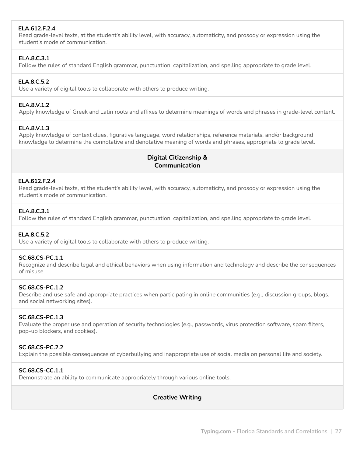# **ELA.612.F.2.4**

Read grade-level texts, at the student's ability level, with accuracy, automaticity, and prosody or expression using the student's mode of communication.

# **ELA.8.C.3.1**

Follow the rules of standard English grammar, punctuation, capitalization, and spelling appropriate to grade level.

## **ELA.8.C.5.2**

Use a variety of digital tools to collaborate with others to produce writing.

## **ELA.8.V.1.2**

Apply knowledge of Greek and Latin roots and affixes to determine meanings of words and phrases in grade-level content.

# **ELA.8.V.1.3**

Apply knowledge of context clues, figurative language, word relationships, reference materials, and/or background knowledge to determine the connotative and denotative meaning of words and phrases, appropriate to grade level.

# **Digital Citizenship & Communication**

## **ELA.612.F.2.4**

Read grade-level texts, at the student's ability level, with accuracy, automaticity, and prosody or expression using the student's mode of communication.

## **ELA.8.C.3.1**

Follow the rules of standard English grammar, punctuation, capitalization, and spelling appropriate to grade level.

## **ELA.8.C.5.2**

Use a variety of digital tools to collaborate with others to produce writing.

## **SC.68.CS-PC.1.1**

Recognize and describe legal and ethical behaviors when using information and technology and describe the consequences of misuse.

#### **SC.68.CS-PC.1.2**

Describe and use safe and appropriate practices when participating in online communities (e.g., discussion groups, blogs, and social networking sites).

# **SC.68.CS-PC.1.3**

Evaluate the proper use and operation of security technologies (e.g., passwords, virus protection software, spam filters, pop-up blockers, and cookies).

## **SC.68.CS-PC.2.2**

Explain the possible consequences of cyberbullying and inappropriate use of social media on personal life and society.

# **SC.68.CS-CC.1.1**

Demonstrate an ability to communicate appropriately through various online tools.

# **Creative Writing**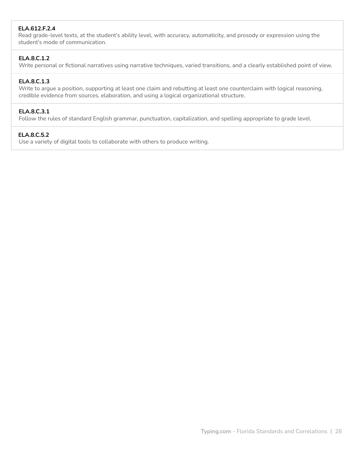# **ELA.612.F.2.4**

Read grade-level texts, at the student's ability level, with accuracy, automaticity, and prosody or expression using the student's mode of communication.

# **ELA.8.C.1.2**

Write personal or fictional narratives using narrative techniques, varied transitions, and a clearly established point of view.

## **ELA.8.C.1.3**

Write to argue a position, supporting at least one claim and rebutting at least one counterclaim with logical reasoning, credible evidence from sources, elaboration, and using a logical organizational structure.

## **ELA.8.C.3.1**

Follow the rules of standard English grammar, punctuation, capitalization, and spelling appropriate to grade level.

## **ELA.8.C.5.2**

Use a variety of digital tools to collaborate with others to produce writing.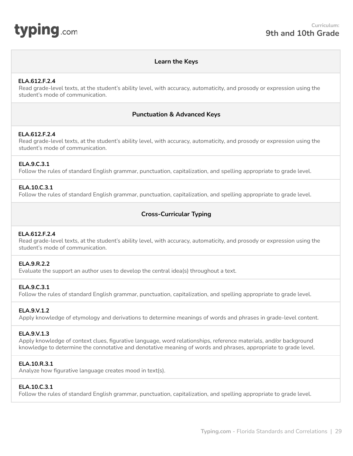<span id="page-28-0"></span>

## **Learn the Keys**

## **ELA.612.F.2.4**

Read grade-level texts, at the student's ability level, with accuracy, automaticity, and prosody or expression using the student's mode of communication.

# **Punctuation & Advanced Keys**

## **ELA.612.F.2.4**

Read grade-level texts, at the student's ability level, with accuracy, automaticity, and prosody or expression using the student's mode of communication.

## **ELA.9.C.3.1**

Follow the rules of standard English grammar, punctuation, capitalization, and spelling appropriate to grade level.

## **ELA.10.C.3.1**

Follow the rules of standard English grammar, punctuation, capitalization, and spelling appropriate to grade level.

# **Cross-Curricular Typing**

#### **ELA.612.F.2.4**

Read grade-level texts, at the student's ability level, with accuracy, automaticity, and prosody or expression using the student's mode of communication.

#### **ELA.9.R.2.2**

Evaluate the support an author uses to develop the central idea(s) throughout a text.

#### **ELA.9.C.3.1**

Follow the rules of standard English grammar, punctuation, capitalization, and spelling appropriate to grade level.

## **ELA.9.V.1.2**

Apply knowledge of etymology and derivations to determine meanings of words and phrases in grade-level content.

#### **ELA.9.V.1.3**

Apply knowledge of context clues, figurative language, word relationships, reference materials, and/or background knowledge to determine the connotative and denotative meaning of words and phrases, appropriate to grade level.

## **ELA.10.R.3.1**

Analyze how figurative language creates mood in text(s).

#### **ELA.10.C.3.1**

Follow the rules of standard English grammar, punctuation, capitalization, and spelling appropriate to grade level.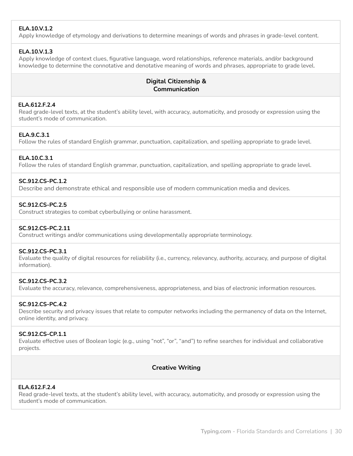# **ELA.10.V.1.2**

Apply knowledge of etymology and derivations to determine meanings of words and phrases in grade-level content.

# **ELA.10.V.1.3**

Apply knowledge of context clues, figurative language, word relationships, reference materials, and/or background knowledge to determine the connotative and denotative meaning of words and phrases, appropriate to grade level.

# **Digital Citizenship & Communication**

# **ELA.612.F.2.4**

Read grade-level texts, at the student's ability level, with accuracy, automaticity, and prosody or expression using the student's mode of communication.

# **ELA.9.C.3.1**

Follow the rules of standard English grammar, punctuation, capitalization, and spelling appropriate to grade level.

# **ELA.10.C.3.1**

Follow the rules of standard English grammar, punctuation, capitalization, and spelling appropriate to grade level.

# **SC.912.CS-PC.1.2**

Describe and demonstrate ethical and responsible use of modern communication media and devices.

# **SC.912.CS-PC.2.5**

Construct strategies to combat cyberbullying or online harassment.

## **SC.912.CS-PC.2.11**

Construct writings and/or communications using developmentally appropriate terminology.

## **SC.912.CS-PC.3.1**

Evaluate the quality of digital resources for reliability (i.e., currency, relevancy, authority, accuracy, and purpose of digital information).

## **SC.912.CS-PC.3.2**

Evaluate the accuracy, relevance, comprehensiveness, appropriateness, and bias of electronic information resources.

## **SC.912.CS-PC.4.2**

Describe security and privacy issues that relate to computer networks including the permanency of data on the Internet, online identity, and privacy.

# **SC.912.CS-CP.1.1**

Evaluate effective uses of Boolean logic (e.g., using "not", "or", "and") to refine searches for individual and collaborative projects.

# **Creative Writing**

## **ELA.612.F.2.4**

Read grade-level texts, at the student's ability level, with accuracy, automaticity, and prosody or expression using the student's mode of communication.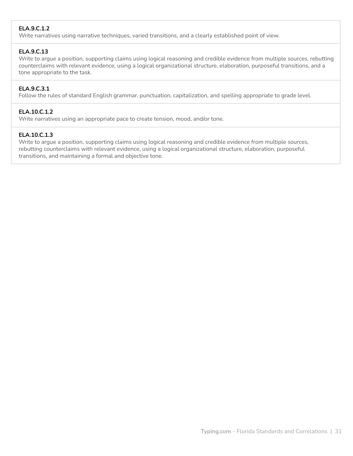# **ELA.9.C.1.2**

Write narratives using narrative techniques, varied transitions, and a clearly established point of view.

# **ELA.9.C.13**

Write to argue a position, supporting claims using logical reasoning and credible evidence from multiple sources, rebutting counterclaims with relevant evidence, using a logical organizational structure, elaboration, purposeful transitions, and a tone appropriate to the task.

# **ELA.9.C.3.1**

Follow the rules of standard English grammar, punctuation, capitalization, and spelling appropriate to grade level.

# **ELA.10.C.1.2**

Write narratives using an appropriate pace to create tension, mood, and/or tone.

# **ELA.10.C.1.3**

Write to argue a position, supporting claims using logical reasoning and credible evidence from multiple sources, rebutting counterclaims with relevant evidence, using a logical organizational structure, elaboration, purposeful transitions, and maintaining a formal and objective tone.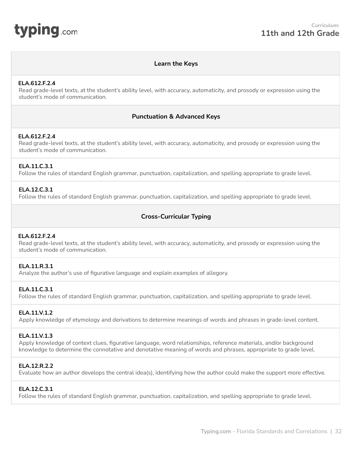<span id="page-31-0"></span>

# **Learn the Keys**

#### **ELA.612.F.2.4**

Read grade-level texts, at the student's ability level, with accuracy, automaticity, and prosody or expression using the student's mode of communication.

## **Punctuation & Advanced Keys**

## **ELA.612.F.2.4**

Read grade-level texts, at the student's ability level, with accuracy, automaticity, and prosody or expression using the student's mode of communication.

## **ELA.11.C.3.1**

Follow the rules of standard English grammar, punctuation, capitalization, and spelling appropriate to grade level.

## **ELA.12.C.3.1**

Follow the rules of standard English grammar, punctuation, capitalization, and spelling appropriate to grade level.

# **Cross-Curricular Typing**

#### **ELA.612.F.2.4**

Read grade-level texts, at the student's ability level, with accuracy, automaticity, and prosody or expression using the student's mode of communication.

#### **ELA.11.R.3.1**

Analyze the author's use of figurative language and explain examples of allegory.

#### **ELA.11.C.3.1**

Follow the rules of standard English grammar, punctuation, capitalization, and spelling appropriate to grade level.

#### **ELA.11.V.1.2**

Apply knowledge of etymology and derivations to determine meanings of words and phrases in grade-level content.

#### **ELA.11.V.1.3**

Apply knowledge of context clues, figurative language, word relationships, reference materials, and/or background knowledge to determine the connotative and denotative meaning of words and phrases, appropriate to grade level.

#### **ELA.12.R.2.2**

Evaluate how an author develops the central idea(s), identifying how the author could make the support more effective.

## **ELA.12.C.3.1**

Follow the rules of standard English grammar, punctuation, capitalization, and spelling appropriate to grade level.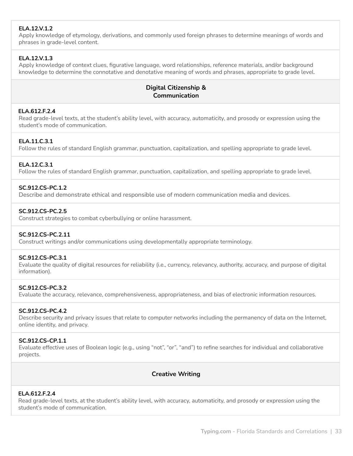# **ELA.12.V.1.2**

Apply knowledge of etymology, derivations, and commonly used foreign phrases to determine meanings of words and phrases in grade-level content.

# **ELA.12.V.1.3**

Apply knowledge of context clues, figurative language, word relationships, reference materials, and/or background knowledge to determine the connotative and denotative meaning of words and phrases, appropriate to grade level.

# **Digital Citizenship & Communication**

## **ELA.612.F.2.4**

Read grade-level texts, at the student's ability level, with accuracy, automaticity, and prosody or expression using the student's mode of communication.

# **ELA.11.C.3.1**

Follow the rules of standard English grammar, punctuation, capitalization, and spelling appropriate to grade level.

# **ELA.12.C.3.1**

Follow the rules of standard English grammar, punctuation, capitalization, and spelling appropriate to grade level.

## **SC.912.CS-PC.1.2**

Describe and demonstrate ethical and responsible use of modern communication media and devices.

## **SC.912.CS-PC.2.5**

Construct strategies to combat cyberbullying or online harassment.

## **SC.912.CS-PC.2.11**

Construct writings and/or communications using developmentally appropriate terminology.

## **SC.912.CS-PC.3.1**

Evaluate the quality of digital resources for reliability (i.e., currency, relevancy, authority, accuracy, and purpose of digital information).

#### **SC.912.CS-PC.3.2**

Evaluate the accuracy, relevance, comprehensiveness, appropriateness, and bias of electronic information resources.

## **SC.912.CS-PC.4.2**

Describe security and privacy issues that relate to computer networks including the permanency of data on the Internet, online identity, and privacy.

#### **SC.912.CS-CP.1.1**

Evaluate effective uses of Boolean logic (e.g., using "not", "or", "and") to refine searches for individual and collaborative projects.

# **Creative Writing**

#### **ELA.612.F.2.4**

Read grade-level texts, at the student's ability level, with accuracy, automaticity, and prosody or expression using the student's mode of communication.